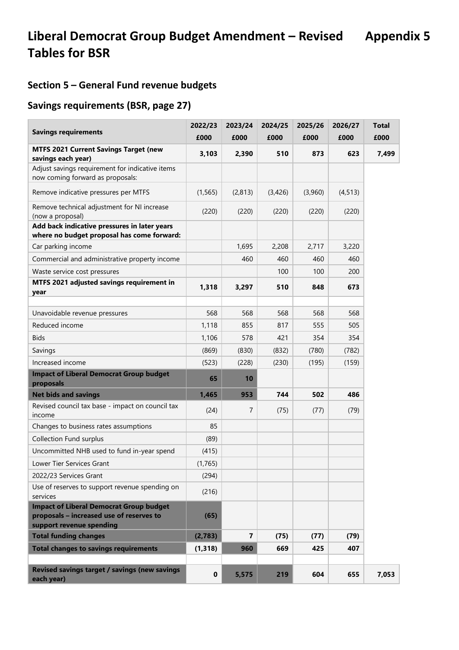## **Section 5 – General Fund revenue budgets**

### **Savings requirements (BSR, page 27)**

| <b>Savings requirements</b>                                                                                            | 2022/23<br>£000 | 2023/24<br>£000 | 2024/25<br>£000 | 2025/26<br>£000 | 2026/27<br>£000 | <b>Total</b><br>£000 |
|------------------------------------------------------------------------------------------------------------------------|-----------------|-----------------|-----------------|-----------------|-----------------|----------------------|
| <b>MTFS 2021 Current Savings Target (new</b><br>savings each year)                                                     | 3,103           | 2,390           | 510             | 873             | 623             | 7,499                |
| Adjust savings requirement for indicative items<br>now coming forward as proposals:                                    |                 |                 |                 |                 |                 |                      |
| Remove indicative pressures per MTFS                                                                                   | (1, 565)        | (2, 813)        | (3,426)         | (3,960)         | (4, 513)        |                      |
| Remove technical adjustment for NI increase<br>(now a proposal)                                                        | (220)           | (220)           | (220)           | (220)           | (220)           |                      |
| Add back indicative pressures in later years<br>where no budget proposal has come forward:                             |                 |                 |                 |                 |                 |                      |
| Car parking income                                                                                                     |                 | 1,695           | 2,208           | 2,717           | 3,220           |                      |
| Commercial and administrative property income                                                                          |                 | 460             | 460             | 460             | 460             |                      |
| Waste service cost pressures                                                                                           |                 |                 | 100             | 100             | 200             |                      |
| MTFS 2021 adjusted savings requirement in<br>year                                                                      | 1,318           | 3,297           | 510             | 848             | 673             |                      |
|                                                                                                                        |                 |                 |                 |                 |                 |                      |
| Unavoidable revenue pressures                                                                                          | 568             | 568             | 568             | 568             | 568             |                      |
| Reduced income                                                                                                         | 1,118           | 855             | 817             | 555             | 505             |                      |
| <b>Bids</b>                                                                                                            | 1,106           | 578             | 421             | 354             | 354             |                      |
| Savings                                                                                                                | (869)           | (830)           | (832)           | (780)           | (782)           |                      |
| Increased income                                                                                                       | (523)           | (228)           | (230)           | (195)           | (159)           |                      |
| <b>Impact of Liberal Democrat Group budget</b><br>proposals                                                            | 65              | 10              |                 |                 |                 |                      |
| <b>Net bids and savings</b>                                                                                            | 1,465           | 953             | 744             | 502             | 486             |                      |
| Revised council tax base - impact on council tax<br>income                                                             | (24)            | 7               | (75)            | (77)            | (79)            |                      |
| Changes to business rates assumptions                                                                                  | 85              |                 |                 |                 |                 |                      |
| <b>Collection Fund surplus</b>                                                                                         | (89)            |                 |                 |                 |                 |                      |
| Uncommitted NHB used to fund in-year spend                                                                             | (415)           |                 |                 |                 |                 |                      |
| Lower Tier Services Grant                                                                                              | (1,765)         |                 |                 |                 |                 |                      |
| 2022/23 Services Grant                                                                                                 | (294)           |                 |                 |                 |                 |                      |
| Use of reserves to support revenue spending on<br>services                                                             | (216)           |                 |                 |                 |                 |                      |
| <b>Impact of Liberal Democrat Group budget</b><br>proposals - increased use of reserves to<br>support revenue spending | (65)            |                 |                 |                 |                 |                      |
| <b>Total funding changes</b>                                                                                           | (2,783)         | 7               | (75)            | (77)            | (79)            |                      |
| <b>Total changes to savings requirements</b>                                                                           | (1, 318)        | 960             | 669             | 425             | 407             |                      |
| Revised savings target / savings (new savings<br>each year)                                                            | $\pmb{0}$       | 5,575           | 219             | 604             | 655             | 7,053                |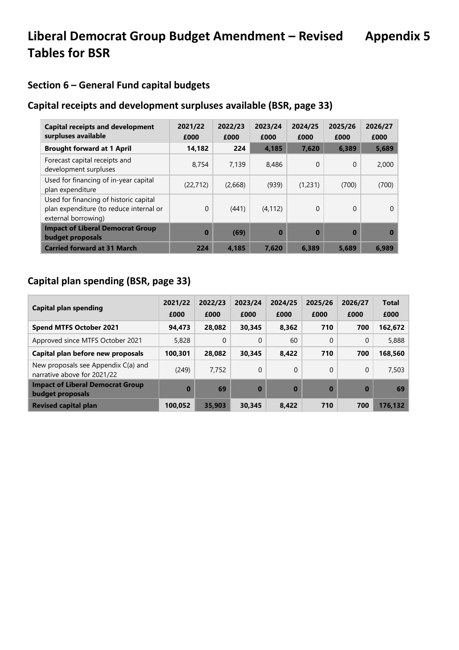## **Section 6 – General Fund capital budgets**

### **Capital receipts and development surpluses available (BSR, page 33)**

| <b>Capital receipts and development</b><br>surpluses available                                           | 2021/22<br>£000 | 2022/23<br>£000 | 2023/24<br>£000 | 2024/25<br>£000 | 2025/26<br>£000 | 2026/27<br>£000 |
|----------------------------------------------------------------------------------------------------------|-----------------|-----------------|-----------------|-----------------|-----------------|-----------------|
| <b>Brought forward at 1 April</b>                                                                        | 14,182          | 224             | 4,185           | 7,620           | 6,389           | 5,689           |
| Forecast capital receipts and<br>development surpluses                                                   | 8.754           | 7.139           | 8,486           | $\Omega$        | $\mathbf{0}$    | 2,000           |
| Used for financing of in-year capital<br>plan expenditure                                                | (22, 712)       | (2,668)         | (939)           | (1,231)         | (700)           | (700)           |
| Used for financing of historic capital<br>plan expenditure (to reduce internal or<br>external borrowing) | $\Omega$        | (441)           | (4, 112)        | $\Omega$        | $\mathbf{0}$    | $\Omega$        |
| <b>Impact of Liberal Democrat Group</b><br>budget proposals                                              | $\bf{0}$        | (69)            | $\bf{0}$        | $\bf{0}$        | $\bf{0}$        |                 |
| <b>Carried forward at 31 March</b>                                                                       | 224             | 4,185           | 7,620           | 6,389           | 5,689           | 6.989           |

### **Capital plan spending (BSR, page 33)**

| Capital plan spending                                              | 2021/22<br>£000 | 2022/23<br>£000 | 2023/24<br>£000 | 2024/25<br>£000 | 2025/26<br>£000 | 2026/27<br>£000 | <b>Total</b><br>£000 |
|--------------------------------------------------------------------|-----------------|-----------------|-----------------|-----------------|-----------------|-----------------|----------------------|
| <b>Spend MTFS October 2021</b>                                     | 94,473          | 28,082          | 30,345          | 8,362           | 710             | 700             | 162,672              |
| Approved since MTFS October 2021                                   | 5,828           | 0               | 0               | 60              | $\Omega$        | 0               | 5,888                |
| Capital plan before new proposals                                  | 100,301         | 28.082          | 30.345          | 8,422           | 710             | 700             | 168,560              |
| New proposals see Appendix C(a) and<br>narrative above for 2021/22 | (249)           | 7.752           | $\Omega$        | 0               | $\Omega$        | 0               | 7,503                |
| <b>Impact of Liberal Democrat Group</b><br>budget proposals        | $\bf{0}$        | 69              | $\bf{0}$        | $\bf{0}$        | $\bf{0}$        | $\bf{0}$        | 69                   |
| <b>Revised capital plan</b>                                        | 100,052         | 35,903          | 30,345          | 8,422           | 710             | 700             | 176,132              |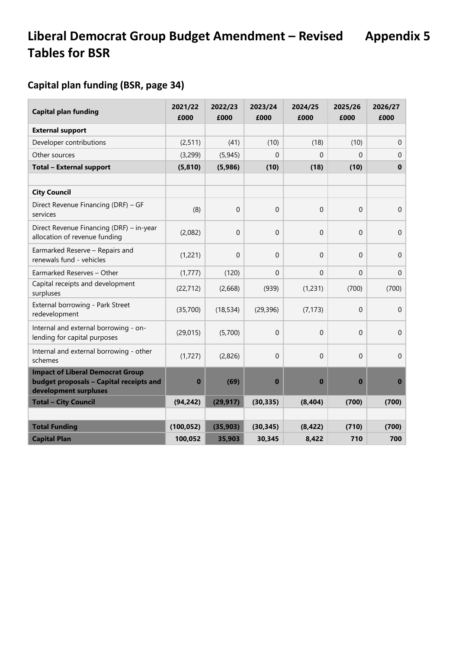## **Capital plan funding (BSR, page 34)**

| <b>Capital plan funding</b>                                                                                 | 2021/22<br>£000 | 2022/23<br>£000 | 2023/24<br>£000 | 2024/25<br>£000  | 2025/26<br>£000 | 2026/27<br>£000  |
|-------------------------------------------------------------------------------------------------------------|-----------------|-----------------|-----------------|------------------|-----------------|------------------|
| <b>External support</b>                                                                                     |                 |                 |                 |                  |                 |                  |
| Developer contributions                                                                                     | (2, 511)        | (41)            | (10)            | (18)             | (10)            | $\Omega$         |
| Other sources                                                                                               | (3,299)         | (5, 945)        | 0               | 0                | $\Omega$        | $\Omega$         |
| <b>Total - External support</b>                                                                             | (5, 810)        | (5,986)         | (10)            | (18)             | (10)            | $\mathbf 0$      |
|                                                                                                             |                 |                 |                 |                  |                 |                  |
| <b>City Council</b>                                                                                         |                 |                 |                 |                  |                 |                  |
| Direct Revenue Financing (DRF) - GF<br>services                                                             | (8)             | $\Omega$        | $\mathbf 0$     | $\boldsymbol{0}$ | $\Omega$        | $\mathbf 0$      |
| Direct Revenue Financing (DRF) - in-year<br>allocation of revenue funding                                   | (2,082)         | $\Omega$        | $\overline{0}$  | $\mathbf 0$      | $\Omega$        | $\mathbf 0$      |
| Earmarked Reserve - Repairs and<br>renewals fund - vehicles                                                 | (1,221)         | $\Omega$        | $\overline{0}$  | 0                | $\Omega$        | $\mathbf 0$      |
| Earmarked Reserves - Other                                                                                  | (1, 777)        | (120)           | $\mathbf 0$     | $\overline{0}$   | $\Omega$        | $\mathbf 0$      |
| Capital receipts and development<br>surpluses                                                               | (22, 712)       | (2,668)         | (939)           | (1, 231)         | (700)           | (700)            |
| External borrowing - Park Street<br>redevelopment                                                           | (35,700)        | (18, 534)       | (29, 396)       | (7, 173)         | $\mathbf 0$     | $\boldsymbol{0}$ |
| Internal and external borrowing - on-<br>lending for capital purposes                                       | (29, 015)       | (5,700)         | $\mathbf 0$     | $\mathbf 0$      | $\Omega$        | $\mathbf 0$      |
| Internal and external borrowing - other<br>schemes                                                          | (1, 727)        | (2,826)         | $\mathbf 0$     | 0                | $\Omega$        | $\mathbf 0$      |
| <b>Impact of Liberal Democrat Group</b><br>budget proposals - Capital receipts and<br>development surpluses | $\bf{0}$        | (69)            | $\bf{0}$        | $\bf{0}$         | $\bf{0}$        | $\bf{0}$         |
| <b>Total - City Council</b>                                                                                 | (94, 242)       | (29, 917)       | (30, 335)       | (8, 404)         | (700)           | (700)            |
|                                                                                                             |                 |                 |                 |                  |                 |                  |
| <b>Total Funding</b>                                                                                        | (100, 052)      | (35, 903)       | (30, 345)       | (8, 422)         | (710)           | (700)            |
| <b>Capital Plan</b>                                                                                         | 100,052         | 35,903          | 30,345          | 8,422            | 710             | 700              |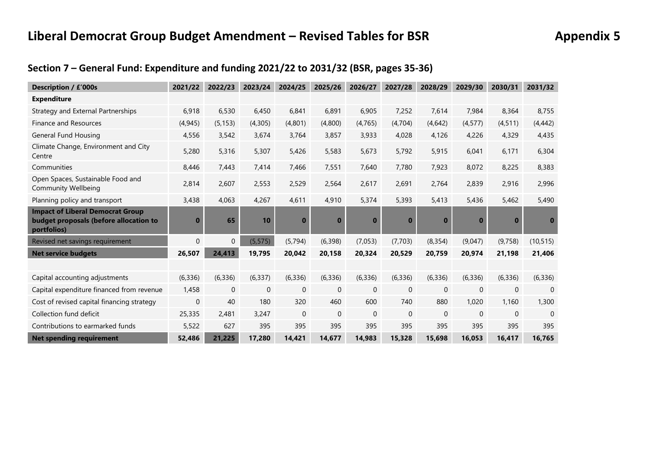## **Liberal Democrat Group Budget Amendment – Revised Tables for BSR Appendix 5**

## **Section 7 – General Fund: Expenditure and funding 2021/22 to 2031/32 (BSR, pages 35-36)**

| <b>Description / £'000s</b>                                                                      | 2021/22      | 2022/23        | 2023/24        | 2024/25        | 2025/26      | 2026/27      | 2027/28      | 2028/29      | 2029/30      | 2030/31      | 2031/32     |
|--------------------------------------------------------------------------------------------------|--------------|----------------|----------------|----------------|--------------|--------------|--------------|--------------|--------------|--------------|-------------|
| <b>Expenditure</b>                                                                               |              |                |                |                |              |              |              |              |              |              |             |
| Strategy and External Partnerships                                                               | 6,918        | 6,530          | 6,450          | 6,841          | 6,891        | 6,905        | 7,252        | 7,614        | 7,984        | 8,364        | 8,755       |
| Finance and Resources                                                                            | (4, 945)     | (5, 153)       | (4,305)        | (4,801)        | (4,800)      | (4, 765)     | (4,704)      | (4,642)      | (4, 577)     | (4, 511)     | (4, 442)    |
| General Fund Housing                                                                             | 4,556        | 3,542          | 3,674          | 3,764          | 3,857        | 3,933        | 4,028        | 4,126        | 4,226        | 4,329        | 4,435       |
| Climate Change, Environment and City<br>Centre                                                   | 5,280        | 5,316          | 5,307          | 5,426          | 5,583        | 5,673        | 5,792        | 5,915        | 6,041        | 6,171        | 6,304       |
| Communities                                                                                      | 8,446        | 7,443          | 7,414          | 7,466          | 7,551        | 7,640        | 7,780        | 7,923        | 8,072        | 8,225        | 8,383       |
| Open Spaces, Sustainable Food and<br><b>Community Wellbeing</b>                                  | 2,814        | 2,607          | 2,553          | 2,529          | 2,564        | 2,617        | 2,691        | 2,764        | 2,839        | 2,916        | 2,996       |
| Planning policy and transport                                                                    | 3,438        | 4,063          | 4,267          | 4,611          | 4,910        | 5,374        | 5,393        | 5,413        | 5,436        | 5,462        | 5,490       |
| <b>Impact of Liberal Democrat Group</b><br>budget proposals (before allocation to<br>portfolios) | $\bf{0}$     | 65             | 10             | $\bf{0}$       | $\bf{0}$     | $\bf{0}$     | $\bf{0}$     | $\bf{0}$     | $\bf{0}$     | $\bf{0}$     | $\bf{0}$    |
| Revised net savings requirement                                                                  | $\mathbf{0}$ | $\overline{0}$ | (5, 575)       | (5, 794)       | (6,398)      | (7,053)      | (7,703)      | (8, 354)     | (9,047)      | (9,758)      | (10, 515)   |
| <b>Net service budgets</b>                                                                       | 26,507       | 24,413         | 19,795         | 20,042         | 20,158       | 20,324       | 20,529       | 20,759       | 20,974       | 21,198       | 21,406      |
|                                                                                                  |              |                |                |                |              |              |              |              |              |              |             |
| Capital accounting adjustments                                                                   | (6, 336)     | (6, 336)       | (6, 337)       | (6, 336)       | (6, 336)     | (6, 336)     | (6, 336)     | (6, 336)     | (6, 336)     | (6, 336)     | (6, 336)    |
| Capital expenditure financed from revenue                                                        | 1,458        | $\mathbf 0$    | $\overline{0}$ | $\overline{0}$ | $\mathbf{0}$ | $\mathbf{0}$ | $\mathbf{0}$ | $\mathbf{0}$ | $\mathbf{0}$ | $\mathbf{0}$ | $\mathbf 0$ |
| Cost of revised capital financing strategy                                                       | $\mathbf{0}$ | 40             | 180            | 320            | 460          | 600          | 740          | 880          | 1,020        | 1,160        | 1,300       |
| Collection fund deficit                                                                          | 25,335       | 2,481          | 3,247          | $\mathbf{0}$   | $\Omega$     | $\Omega$     | $\Omega$     | $\Omega$     | $\Omega$     | $\mathbf{0}$ | $\Omega$    |
| Contributions to earmarked funds                                                                 | 5,522        | 627            | 395            | 395            | 395          | 395          | 395          | 395          | 395          | 395          | 395         |
| <b>Net spending requirement</b>                                                                  | 52,486       | 21,225         | 17,280         | 14,421         | 14.677       | 14,983       | 15.328       | 15,698       | 16.053       | 16,417       | 16.765      |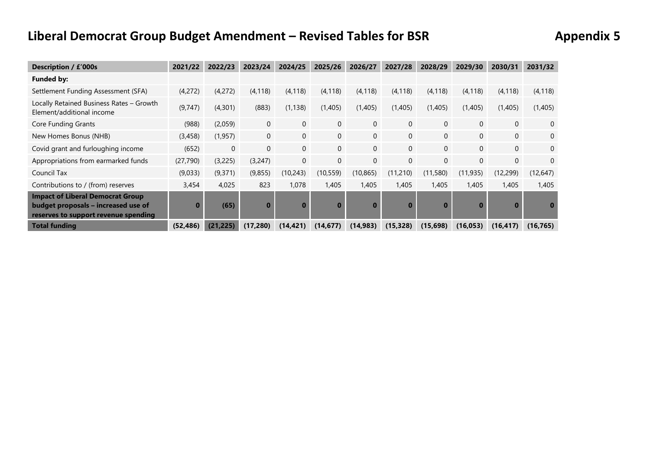# **Liberal Democrat Group Budget Amendment – Revised Tables for BSR Appendix 5**

| Description / £'000s                                                                                                   | 2021/22   | 2022/23   | 2023/24        | 2024/25        | 2025/26        | 2026/27        | 2027/28        | 2028/29      | 2029/30        | 2030/31      | 2031/32        |
|------------------------------------------------------------------------------------------------------------------------|-----------|-----------|----------------|----------------|----------------|----------------|----------------|--------------|----------------|--------------|----------------|
| <b>Funded by:</b>                                                                                                      |           |           |                |                |                |                |                |              |                |              |                |
| Settlement Funding Assessment (SFA)                                                                                    | (4,272)   | (4,272)   | (4, 118)       | (4, 118)       | (4, 118)       | (4, 118)       | (4, 118)       | (4, 118)     | (4, 118)       | (4, 118)     | (4, 118)       |
| Locally Retained Business Rates - Growth<br>Element/additional income                                                  | (9,747)   | (4, 301)  | (883)          | (1, 138)       | (1,405)        | (1,405)        | (1,405)        | (1,405)      | (1,405)        | (1,405)      | (1,405)        |
| Core Funding Grants                                                                                                    | (988)     | (2,059)   | $\overline{0}$ | $\overline{0}$ | $\overline{0}$ | $\mathbf{0}$   | $\overline{0}$ | $\mathbf{0}$ | 0              | $\mathbf{0}$ | $\mathbf{0}$   |
| New Homes Bonus (NHB)                                                                                                  | (3,458)   | (1, 957)  | $\mathbf{0}$   | $\overline{0}$ | $\mathbf{0}$   | $\overline{0}$ | $\mathbf{0}$   | $\mathbf{0}$ | $\overline{0}$ | $\mathbf{0}$ | $\overline{0}$ |
| Covid grant and furloughing income                                                                                     | (652)     | $\Omega$  | $\Omega$       | $\overline{0}$ | $\Omega$       | $\Omega$       | $\Omega$       | $\Omega$     | $\Omega$       | $\mathbf{0}$ | $\mathbf{0}$   |
| Appropriations from earmarked funds                                                                                    | (27, 790) | (3,225)   | (3,247)        | $\mathbf{0}$   | $\overline{0}$ | $\mathbf{0}$   | $\mathbf{0}$   | $\mathbf{0}$ | 0              | $\mathbf{0}$ | $\mathbf{0}$   |
| Council Tax                                                                                                            | (9,033)   | (9,371)   | (9,855)        | (10,243)       | (10, 559)      | (10, 865)      | (11,210)       | (11, 580)    | (11,935)       | (12,299)     | (12, 647)      |
| Contributions to / (from) reserves                                                                                     | 3,454     | 4.025     | 823            | 1,078          | 1,405          | 1,405          | 1,405          | 1,405        | 1,405          | 1,405        | 1,405          |
| <b>Impact of Liberal Democrat Group</b><br>budget proposals – increased use of<br>reserves to support revenue spending | $\Omega$  | (65)      | $\bf{0}$       | $\bf{0}$       | $\bf{0}$       | $\bf{0}$       | $\bf{0}$       | $\bf{0}$     | $\bf{0}$       | $\bf{0}$     |                |
| <b>Total funding</b>                                                                                                   | (52, 486) | (21, 225) | (17, 280)      | (14, 421)      | (14, 677)      | (14, 983)      | (15, 328)      | (15,698)     | (16,053)       | (16, 417)    | (16, 765)      |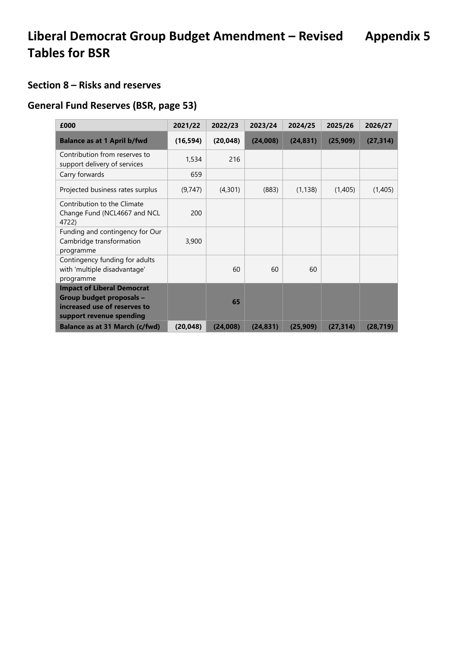### **Section 8 – Risks and reserves**

### **General Fund Reserves (BSR, page 53)**

| £000                                                                                                                      | 2021/22   | 2022/23   | 2023/24   | 2024/25   | 2025/26   | 2026/27   |
|---------------------------------------------------------------------------------------------------------------------------|-----------|-----------|-----------|-----------|-----------|-----------|
| <b>Balance as at 1 April b/fwd</b>                                                                                        | (16, 594) | (20, 048) | (24,008)  | (24, 831) | (25,909)  | (27, 314) |
| Contribution from reserves to<br>support delivery of services                                                             | 1,534     | 216       |           |           |           |           |
| Carry forwards                                                                                                            | 659       |           |           |           |           |           |
| Projected business rates surplus                                                                                          | (9,747)   | (4,301)   | (883)     | (1, 138)  | (1,405)   | (1,405)   |
| Contribution to the Climate<br>Change Fund (NCL4667 and NCL<br>4722)                                                      | 200       |           |           |           |           |           |
| Funding and contingency for Our<br>Cambridge transformation<br>programme                                                  | 3,900     |           |           |           |           |           |
| Contingency funding for adults<br>with 'multiple disadvantage'<br>programme                                               |           | 60        | 60        | 60        |           |           |
| <b>Impact of Liberal Democrat</b><br>Group budget proposals -<br>increased use of reserves to<br>support revenue spending |           | 65        |           |           |           |           |
| <b>Balance as at 31 March (c/fwd)</b>                                                                                     | (20, 048) | (24,008)  | (24, 831) | (25,909)  | (27, 314) | (28, 719) |